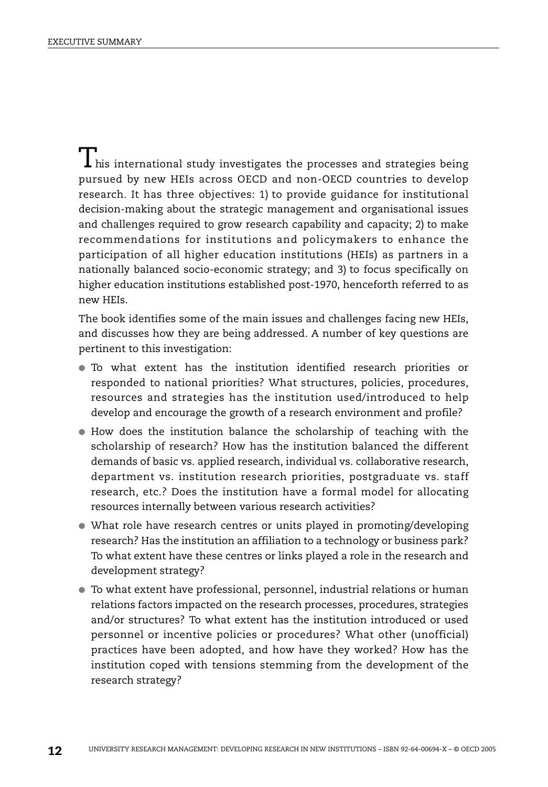$\mathbf I$  his international study investigates the processes and strategies being pursued by new HEIs across OECD and non-OECD countries to develop research. It has three objectives: 1) to provide guidance for institutional decision-making about the strategic management and organisational issues and challenges required to grow research capability and capacity; 2) to make recommendations for institutions and policymakers to enhance the participation of all higher education institutions (HEIs) as partners in a nationally balanced socio-economic strategy; and 3) to focus specifically on higher education institutions established post-1970, henceforth referred to as new HEIs.

The book identifies some of the main issues and challenges facing new HEIs, and discusses how they are being addressed. A number of key questions are pertinent to this investigation:

- To what extent has the institution identified research priorities or responded to national priorities? What structures, policies, procedures, resources and strategies has the institution used/introduced to help develop and encourage the growth of a research environment and profile?
- How does the institution balance the scholarship of teaching with the scholarship of research? How has the institution balanced the different demands of basic vs. applied research, individual vs. collaborative research, department vs. institution research priorities, postgraduate vs. staff research, etc.? Does the institution have a formal model for allocating resources internally between various research activities?
- What role have research centres or units played in promoting/developing research? Has the institution an affiliation to a technology or business park? To what extent have these centres or links played a role in the research and development strategy?
- To what extent have professional, personnel, industrial relations or human relations factors impacted on the research processes, procedures, strategies and/or structures? To what extent has the institution introduced or used personnel or incentive policies or procedures? What other (unofficial) practices have been adopted, and how have they worked? How has the institution coped with tensions stemming from the development of the research strategy?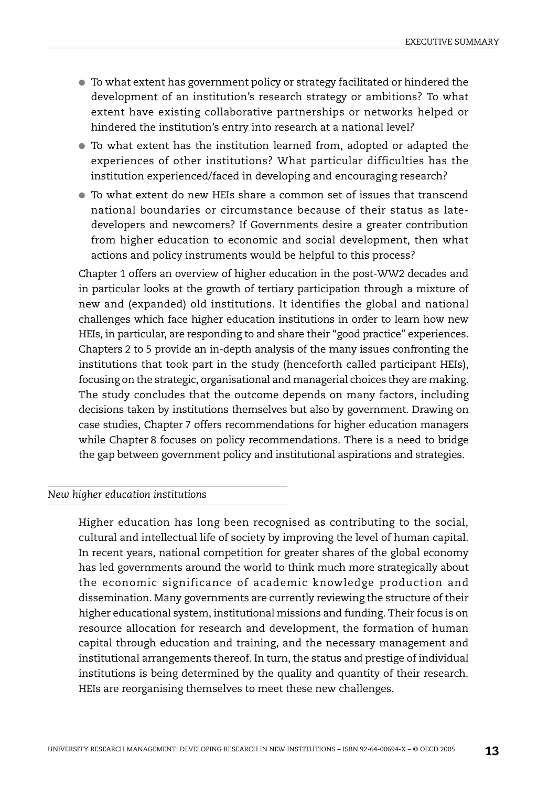- To what extent has government policy or strategy facilitated or hindered the development of an institution's research strategy or ambitions? To what extent have existing collaborative partnerships or networks helped or hindered the institution's entry into research at a national level?
- To what extent has the institution learned from, adopted or adapted the experiences of other institutions? What particular difficulties has the institution experienced/faced in developing and encouraging research?
- To what extent do new HEIs share a common set of issues that transcend national boundaries or circumstance because of their status as latedevelopers and newcomers? If Governments desire a greater contribution from higher education to economic and social development, then what actions and policy instruments would be helpful to this process?

Chapter 1 offers an overview of higher education in the post-WW2 decades and in particular looks at the growth of tertiary participation through a mixture of new and (expanded) old institutions. It identifies the global and national challenges which face higher education institutions in order to learn how new HEIs, in particular, are responding to and share their "good practice" experiences. Chapters 2 to 5 provide an in-depth analysis of the many issues confronting the institutions that took part in the study (henceforth called participant HEIs), focusing on the strategic, organisational and managerial choices they are making. The study concludes that the outcome depends on many factors, including decisions taken by institutions themselves but also by government. Drawing on case studies, Chapter 7 offers recommendations for higher education managers while Chapter 8 focuses on policy recommendations. There is a need to bridge the gap between government policy and institutional aspirations and strategies.

## *New higher education institutions*

Higher education has long been recognised as contributing to the social, cultural and intellectual life of society by improving the level of human capital. In recent years, national competition for greater shares of the global economy has led governments around the world to think much more strategically about the economic significance of academic knowledge production and dissemination. Many governments are currently reviewing the structure of their higher educational system, institutional missions and funding. Their focus is on resource allocation for research and development, the formation of human capital through education and training, and the necessary management and institutional arrangements thereof. In turn, the status and prestige of individual institutions is being determined by the quality and quantity of their research. HEIs are reorganising themselves to meet these new challenges.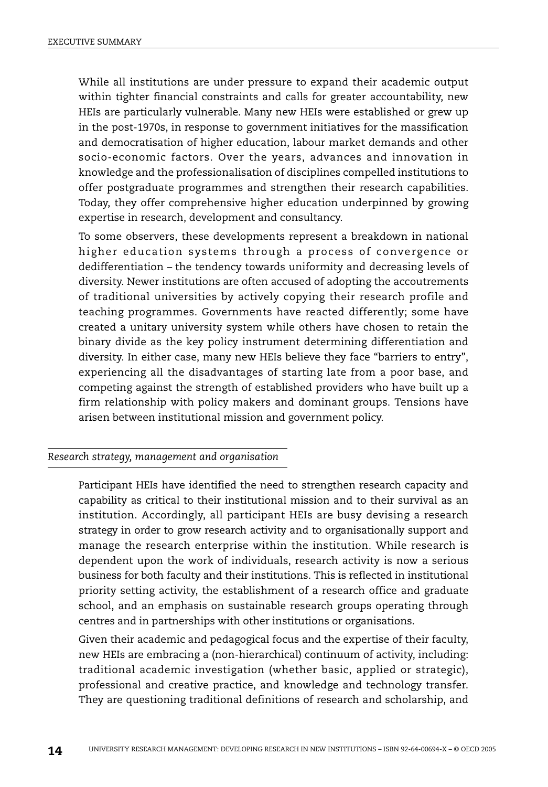While all institutions are under pressure to expand their academic output within tighter financial constraints and calls for greater accountability, new HEIs are particularly vulnerable. Many new HEIs were established or grew up in the post-1970s, in response to government initiatives for the massification and democratisation of higher education, labour market demands and other socio-economic factors. Over the years, advances and innovation in knowledge and the professionalisation of disciplines compelled institutions to offer postgraduate programmes and strengthen their research capabilities. Today, they offer comprehensive higher education underpinned by growing expertise in research, development and consultancy.

To some observers, these developments represent a breakdown in national higher education systems through a process of convergence or dedifferentiation – the tendency towards uniformity and decreasing levels of diversity. Newer institutions are often accused of adopting the accoutrements of traditional universities by actively copying their research profile and teaching programmes. Governments have reacted differently; some have created a unitary university system while others have chosen to retain the binary divide as the key policy instrument determining differentiation and diversity. In either case, many new HEIs believe they face "barriers to entry", experiencing all the disadvantages of starting late from a poor base, and competing against the strength of established providers who have built up a firm relationship with policy makers and dominant groups. Tensions have arisen between institutional mission and government policy.

*Research strategy, management and organisation*

Participant HEIs have identified the need to strengthen research capacity and capability as critical to their institutional mission and to their survival as an institution. Accordingly, all participant HEIs are busy devising a research strategy in order to grow research activity and to organisationally support and manage the research enterprise within the institution. While research is dependent upon the work of individuals, research activity is now a serious business for both faculty and their institutions. This is reflected in institutional priority setting activity, the establishment of a research office and graduate school, and an emphasis on sustainable research groups operating through centres and in partnerships with other institutions or organisations.

Given their academic and pedagogical focus and the expertise of their faculty, new HEIs are embracing a (non-hierarchical) continuum of activity, including: traditional academic investigation (whether basic, applied or strategic), professional and creative practice, and knowledge and technology transfer. They are questioning traditional definitions of research and scholarship, and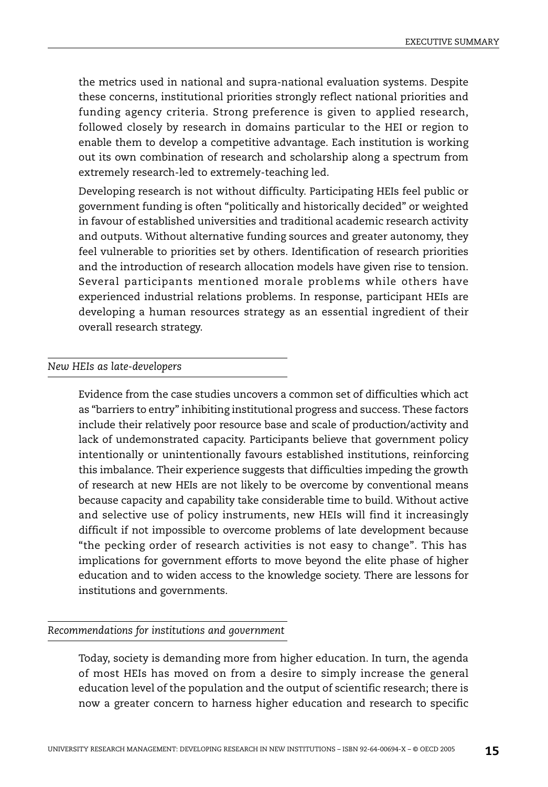the metrics used in national and supra-national evaluation systems. Despite these concerns, institutional priorities strongly reflect national priorities and funding agency criteria. Strong preference is given to applied research, followed closely by research in domains particular to the HEI or region to enable them to develop a competitive advantage. Each institution is working out its own combination of research and scholarship along a spectrum from extremely research-led to extremely-teaching led.

Developing research is not without difficulty. Participating HEIs feel public or government funding is often "politically and historically decided" or weighted in favour of established universities and traditional academic research activity and outputs. Without alternative funding sources and greater autonomy, they feel vulnerable to priorities set by others. Identification of research priorities and the introduction of research allocation models have given rise to tension. Several participants mentioned morale problems while others have experienced industrial relations problems. In response, participant HEIs are developing a human resources strategy as an essential ingredient of their overall research strategy.

## *New HEIs as late-developers*

Evidence from the case studies uncovers a common set of difficulties which act as "barriers to entry" inhibiting institutional progress and success. These factors include their relatively poor resource base and scale of production/activity and lack of undemonstrated capacity. Participants believe that government policy intentionally or unintentionally favours established institutions, reinforcing this imbalance. Their experience suggests that difficulties impeding the growth of research at new HEIs are not likely to be overcome by conventional means because capacity and capability take considerable time to build. Without active and selective use of policy instruments, new HEIs will find it increasingly difficult if not impossible to overcome problems of late development because "the pecking order of research activities is not easy to change". This has implications for government efforts to move beyond the elite phase of higher education and to widen access to the knowledge society. There are lessons for institutions and governments.

## *Recommendations for institutions and government*

Today, society is demanding more from higher education. In turn, the agenda of most HEIs has moved on from a desire to simply increase the general education level of the population and the output of scientific research; there is now a greater concern to harness higher education and research to specific